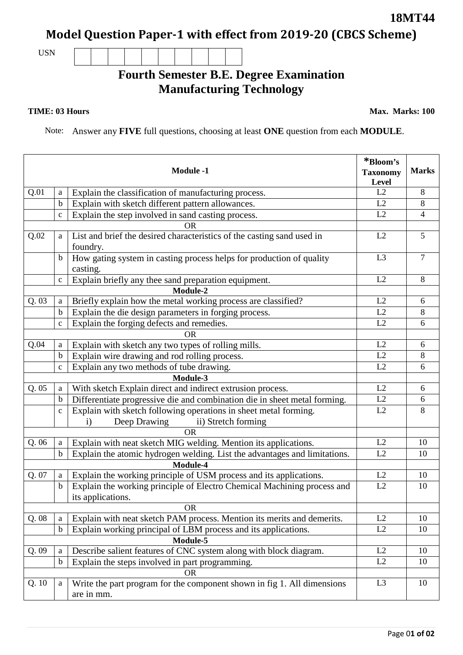## **Model Question Paper-1 with effect from 2019-20 (CBCS Scheme)**

USN

## **Fourth Semester B.E. Degree Examination Manufacturing Technology**

## **TIME: 03 Hours**

Note: Answer any **FIVE** full questions, choosing at least **ONE** question from each **MODULE**.

|           |             | <b>Module -1</b>                                                                      | *Bloom's<br><b>Taxonomy</b><br>Level | <b>Marks</b>   |
|-----------|-------------|---------------------------------------------------------------------------------------|--------------------------------------|----------------|
| Q.01      | a           | Explain the classification of manufacturing process.                                  | L2                                   | 8              |
|           | $\mathbf b$ | Explain with sketch different pattern allowances.                                     | L2                                   | 8              |
|           | $\mathbf c$ | Explain the step involved in sand casting process.                                    | L2                                   | $\overline{4}$ |
| <b>OR</b> |             |                                                                                       |                                      |                |
| Q.02      | a           | List and brief the desired characteristics of the casting sand used in<br>foundry.    | L2                                   | 5              |
|           | $\mathbf b$ | How gating system in casting process helps for production of quality<br>casting.      | L <sub>3</sub>                       | $\overline{7}$ |
|           | $\mathbf c$ | Explain briefly any thee sand preparation equipment.                                  | L2                                   | 8              |
| Module-2  |             |                                                                                       |                                      |                |
| Q. 03     | a           | Briefly explain how the metal working process are classified?                         | L2                                   | 6              |
|           | $\mathbf b$ | Explain the die design parameters in forging process.                                 | L2                                   | 8              |
|           | $\mathbf c$ | Explain the forging defects and remedies.                                             | L2                                   | 6              |
|           |             | <b>OR</b>                                                                             |                                      |                |
| Q.04      | a           | Explain with sketch any two types of rolling mills.                                   | L2                                   | 6              |
|           | $\mathbf b$ | Explain wire drawing and rod rolling process.                                         | L2                                   | 8              |
|           | $\mathbf c$ | Explain any two methods of tube drawing.                                              | L2                                   | 6              |
| Module-3  |             |                                                                                       |                                      |                |
| Q.05      | a           | With sketch Explain direct and indirect extrusion process.                            | L2                                   | 6              |
|           | $\mathbf b$ | Differentiate progressive die and combination die in sheet metal forming.             | L2                                   | 6              |
|           | $\mathbf c$ | Explain with sketch following operations in sheet metal forming.                      | L2                                   | 8              |
|           |             | Deep Drawing<br>ii) Stretch forming<br>$\mathbf{i}$                                   |                                      |                |
| <b>OR</b> |             |                                                                                       |                                      |                |
| Q.06      | a           | Explain with neat sketch MIG welding. Mention its applications.                       | L2                                   | 10             |
|           | $\mathbf b$ | Explain the atomic hydrogen welding. List the advantages and limitations.             | L2                                   | 10             |
| Module-4  |             |                                                                                       |                                      |                |
| Q. 07     | a           | Explain the working principle of USM process and its applications.                    | L2                                   | 10             |
|           | $\mathbf b$ | Explain the working principle of Electro Chemical Machining process and               | L2                                   | 10             |
|           |             | its applications.                                                                     |                                      |                |
|           |             | <b>OR</b>                                                                             |                                      |                |
| Q.08      | a           | Explain with neat sketch PAM process. Mention its merits and demerits.                | L2                                   | 10             |
|           | $\mathbf b$ | Explain working principal of LBM process and its applications.                        | L2                                   | 10             |
| Module-5  |             |                                                                                       |                                      |                |
| Q. 09     | a           | Describe salient features of CNC system along with block diagram.                     | L2                                   | 10             |
|           | $\mathbf b$ | Explain the steps involved in part programming.                                       | L2                                   | 10             |
|           |             | <b>OR</b>                                                                             | L <sub>3</sub>                       |                |
| Q.10      | a           | Write the part program for the component shown in fig 1. All dimensions<br>are in mm. |                                      | 10             |
|           |             |                                                                                       |                                      |                |

**18MT44**

**Max. Marks: 100**